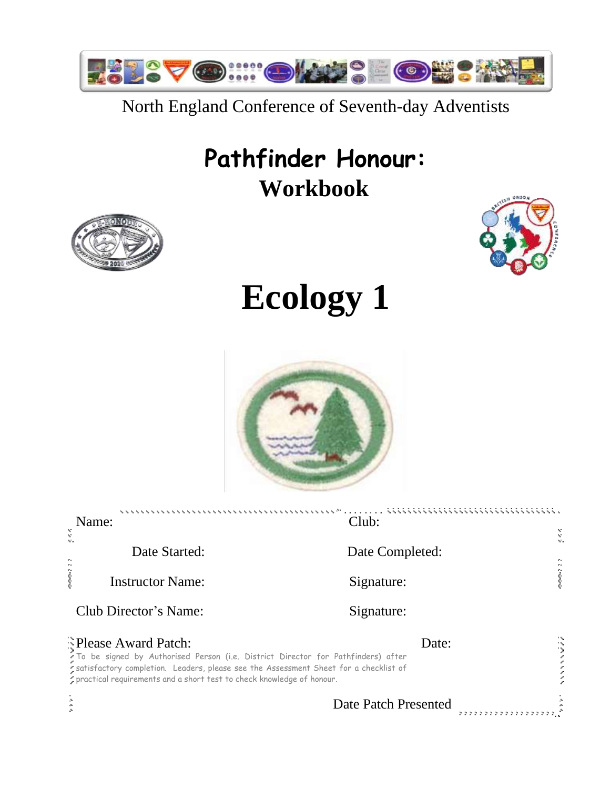

## North England Conference of Seventh-day Adventists

## **Pathfinder Honour: Workbook**



# **Ecology 1**



| Name:                                                                                                                                                                                                                                                                      | Club:                                        | Ň       |  |
|----------------------------------------------------------------------------------------------------------------------------------------------------------------------------------------------------------------------------------------------------------------------------|----------------------------------------------|---------|--|
| Ý.<br>Date Started:                                                                                                                                                                                                                                                        | Date Completed:                              |         |  |
| <b>Instructor Name:</b>                                                                                                                                                                                                                                                    | Signature:                                   | 1. 1999 |  |
| Club Director's Name:                                                                                                                                                                                                                                                      | Signature:                                   |         |  |
| Please Award Patch:<br>To be signed by Authorised Person (i.e. District Director for Pathfinders) after<br>satisfactory completion. Leaders, please see the Assessment Sheet for a checklist of<br>* practical requirements and a short test to check knowledge of honour. | Date:                                        |         |  |
|                                                                                                                                                                                                                                                                            | Date Patch Presented<br>,,,,,,,,,,,,,,,,,,,, |         |  |

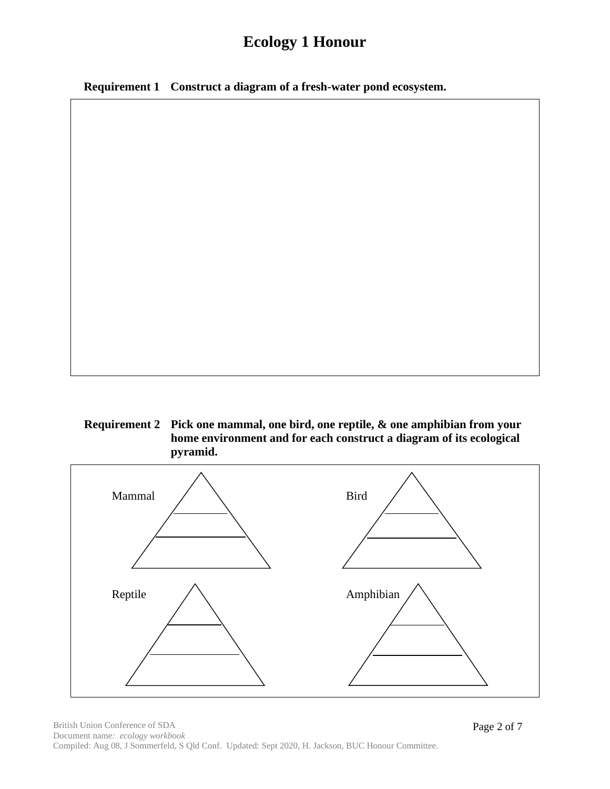**Requirement 1 Construct a diagram of a fresh-water pond ecosystem.**

#### **Requirement 2 Pick one mammal, one bird, one reptile, & one amphibian from your home environment and for each construct a diagram of its ecological pyramid.**



Page 2 of 7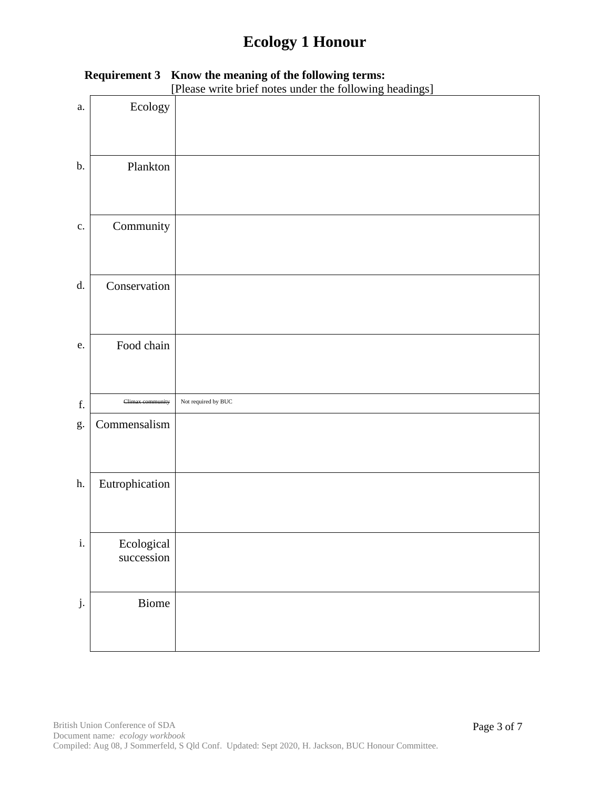|               | [Please write brief notes under the following headings] |                     |  |  |
|---------------|---------------------------------------------------------|---------------------|--|--|
| a.            | Ecology                                                 |                     |  |  |
| b.            | Plankton                                                |                     |  |  |
| $\mathbf{c}.$ | Community                                               |                     |  |  |
| d.            | Conservation                                            |                     |  |  |
| ${\bf e}.$    | Food chain                                              |                     |  |  |
| f.            | Climax community                                        | Not required by BUC |  |  |
| g.            | Commensalism                                            |                     |  |  |
| h.            | Eutrophication                                          |                     |  |  |
| $\mathbf i.$  | Ecological<br>succession                                |                     |  |  |
| j.            | Biome                                                   |                     |  |  |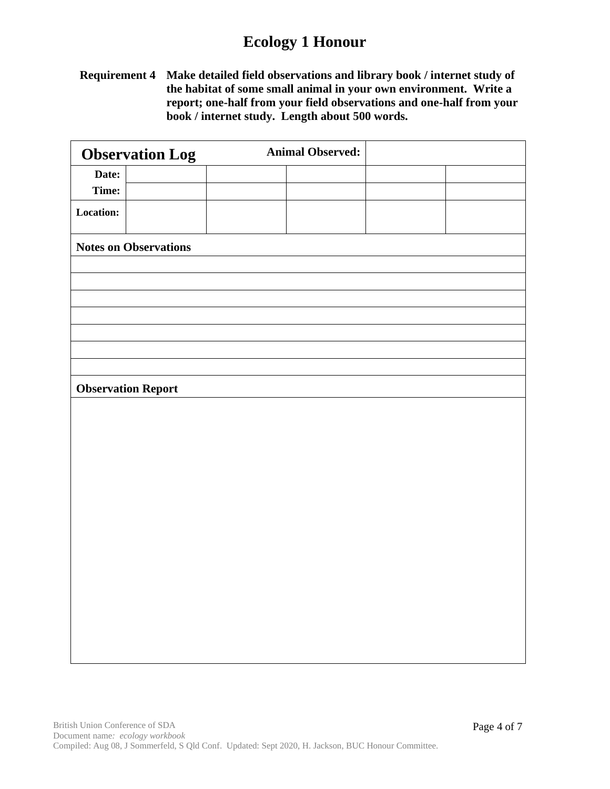**Requirement 4 Make detailed field observations and library book / internet study of the habitat of some small animal in your own environment. Write a report; one-half from your field observations and one-half from your book / internet study. Length about 500 words.**

|                  | <b>Observation Log</b>       | <b>Animal Observed:</b> |  |
|------------------|------------------------------|-------------------------|--|
| Date:            |                              |                         |  |
| Time:            |                              |                         |  |
| <b>Location:</b> |                              |                         |  |
|                  | <b>Notes on Observations</b> |                         |  |
|                  |                              |                         |  |
|                  |                              |                         |  |
|                  |                              |                         |  |
|                  |                              |                         |  |
|                  |                              |                         |  |
|                  |                              |                         |  |
|                  |                              |                         |  |
|                  | <b>Observation Report</b>    |                         |  |
|                  |                              |                         |  |
|                  |                              |                         |  |
|                  |                              |                         |  |
|                  |                              |                         |  |
|                  |                              |                         |  |
|                  |                              |                         |  |
|                  |                              |                         |  |
|                  |                              |                         |  |
|                  |                              |                         |  |
|                  |                              |                         |  |
|                  |                              |                         |  |
|                  |                              |                         |  |
|                  |                              |                         |  |
|                  |                              |                         |  |
|                  |                              |                         |  |
|                  |                              |                         |  |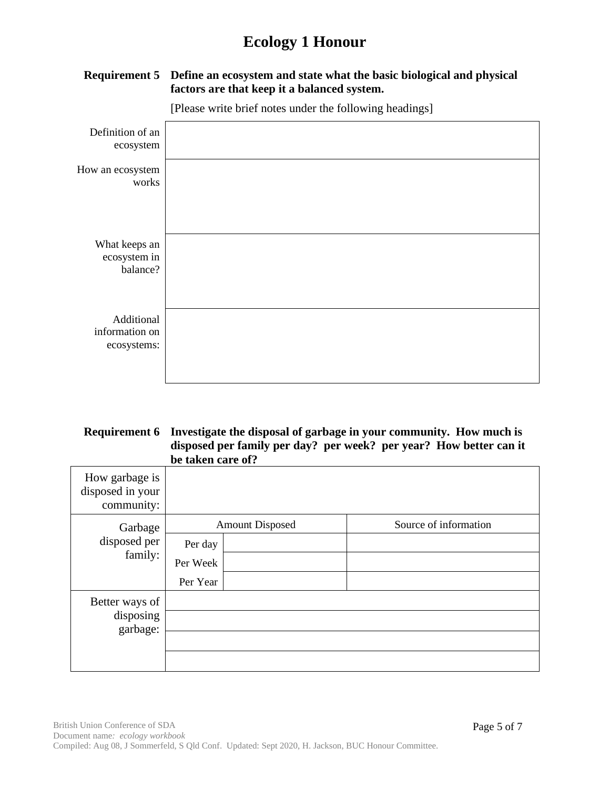

**Requirement 5 Define an ecosystem and state what the basic biological and physical factors are that keep it a balanced system.**

#### **Requirement 6 Investigate the disposal of garbage in your community. How much is disposed per family per day? per week? per year? How better can it be taken care of?**

| How garbage is<br>disposed in your<br>community: |                                 |  |                       |
|--------------------------------------------------|---------------------------------|--|-----------------------|
| Garbage                                          | <b>Amount Disposed</b>          |  | Source of information |
| disposed per<br>family:                          | Per day<br>Per Week<br>Per Year |  |                       |
| Better ways of<br>disposing<br>garbage:          |                                 |  |                       |
|                                                  |                                 |  |                       |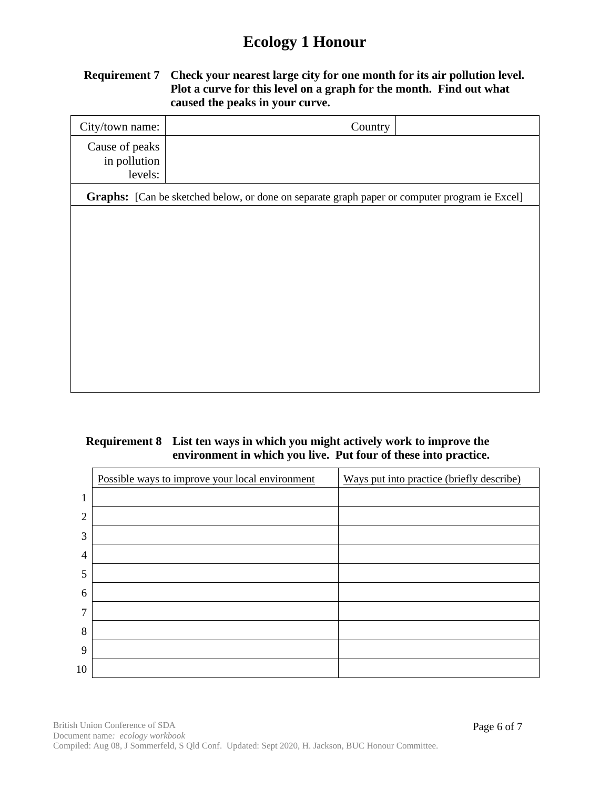#### **Requirement 7 Check your nearest large city for one month for its air pollution level. Plot a curve for this level on a graph for the month. Find out what caused the peaks in your curve.**

| City/town name:                           | Country                                                                                       |
|-------------------------------------------|-----------------------------------------------------------------------------------------------|
| Cause of peaks<br>in pollution<br>levels: |                                                                                               |
|                                           | Graphs: [Can be sketched below, or done on separate graph paper or computer program ie Excel] |
|                                           |                                                                                               |
|                                           |                                                                                               |
|                                           |                                                                                               |
|                                           |                                                                                               |
|                                           |                                                                                               |
|                                           |                                                                                               |
|                                           |                                                                                               |
|                                           |                                                                                               |
|                                           |                                                                                               |

#### **Requirement 8 List ten ways in which you might actively work to improve the environment in which you live. Put four of these into practice.**

|                | Possible ways to improve your local environment | Ways put into practice (briefly describe) |
|----------------|-------------------------------------------------|-------------------------------------------|
|                |                                                 |                                           |
| $\overline{2}$ |                                                 |                                           |
| 3              |                                                 |                                           |
| 4              |                                                 |                                           |
| 5              |                                                 |                                           |
| 6              |                                                 |                                           |
| 7              |                                                 |                                           |
| 8              |                                                 |                                           |
| 9              |                                                 |                                           |
| 10             |                                                 |                                           |